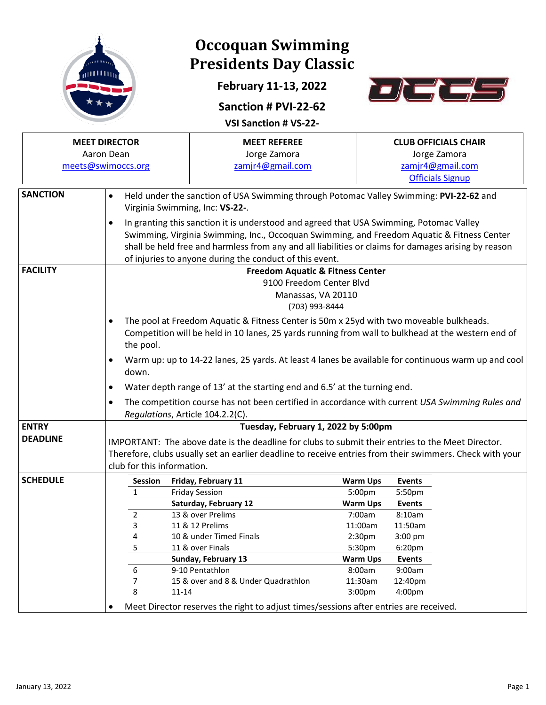

## **Occoquan Swimming Presidents Day Classic**

**February 11-13, 2022**



#### **Sanction # PVI-22-62**

**VSI Sanction # VS-22-**

|                 | <b>MEET DIRECTOR</b><br>Aaron Dean<br>meets@swimoccs.org | <b>MEET REFEREE</b><br>Jorge Zamora<br>zamjr4@gmail.com                                                                                                                                                                                                                                                                                                  |                                                                                                 | <b>CLUB OFFICIALS CHAIR</b><br>Jorge Zamora<br>zamjr4@gmail.com |  |  |  |  |  |  |
|-----------------|----------------------------------------------------------|----------------------------------------------------------------------------------------------------------------------------------------------------------------------------------------------------------------------------------------------------------------------------------------------------------------------------------------------------------|-------------------------------------------------------------------------------------------------|-----------------------------------------------------------------|--|--|--|--|--|--|
| <b>SANCTION</b> | $\bullet$                                                | Held under the sanction of USA Swimming through Potomac Valley Swimming: PVI-22-62 and                                                                                                                                                                                                                                                                   |                                                                                                 | <b>Officials Signup</b>                                         |  |  |  |  |  |  |
|                 | Virginia Swimming, Inc: VS-22-.                          |                                                                                                                                                                                                                                                                                                                                                          |                                                                                                 |                                                                 |  |  |  |  |  |  |
|                 | $\bullet$                                                | In granting this sanction it is understood and agreed that USA Swimming, Potomac Valley<br>Swimming, Virginia Swimming, Inc., Occoquan Swimming, and Freedom Aquatic & Fitness Center<br>shall be held free and harmless from any and all liabilities or claims for damages arising by reason<br>of injuries to anyone during the conduct of this event. |                                                                                                 |                                                                 |  |  |  |  |  |  |
| <b>FACILITY</b> |                                                          | <b>Freedom Aquatic &amp; Fitness Center</b>                                                                                                                                                                                                                                                                                                              |                                                                                                 |                                                                 |  |  |  |  |  |  |
|                 |                                                          | 9100 Freedom Center Blvd                                                                                                                                                                                                                                                                                                                                 |                                                                                                 |                                                                 |  |  |  |  |  |  |
|                 |                                                          | Manassas, VA 20110                                                                                                                                                                                                                                                                                                                                       |                                                                                                 |                                                                 |  |  |  |  |  |  |
|                 |                                                          | (703) 993-8444                                                                                                                                                                                                                                                                                                                                           |                                                                                                 |                                                                 |  |  |  |  |  |  |
|                 | the pool.                                                | The pool at Freedom Aquatic & Fitness Center is 50m x 25yd with two moveable bulkheads.<br>Competition will be held in 10 lanes, 25 yards running from wall to bulkhead at the western end of                                                                                                                                                            |                                                                                                 |                                                                 |  |  |  |  |  |  |
|                 | down.                                                    | Warm up: up to 14-22 lanes, 25 yards. At least 4 lanes be available for continuous warm up and cool                                                                                                                                                                                                                                                      |                                                                                                 |                                                                 |  |  |  |  |  |  |
|                 | $\bullet$                                                | Water depth range of 13' at the starting end and 6.5' at the turning end.                                                                                                                                                                                                                                                                                |                                                                                                 |                                                                 |  |  |  |  |  |  |
|                 | $\bullet$<br>Regulations, Article 104.2.2(C).            |                                                                                                                                                                                                                                                                                                                                                          | The competition course has not been certified in accordance with current USA Swimming Rules and |                                                                 |  |  |  |  |  |  |
| <b>ENTRY</b>    |                                                          | Tuesday, February 1, 2022 by 5:00pm                                                                                                                                                                                                                                                                                                                      |                                                                                                 |                                                                 |  |  |  |  |  |  |
| <b>DEADLINE</b> |                                                          | IMPORTANT: The above date is the deadline for clubs to submit their entries to the Meet Director.                                                                                                                                                                                                                                                        |                                                                                                 |                                                                 |  |  |  |  |  |  |
|                 | club for this information.                               | Therefore, clubs usually set an earlier deadline to receive entries from their swimmers. Check with your                                                                                                                                                                                                                                                 |                                                                                                 |                                                                 |  |  |  |  |  |  |
| <b>SCHEDULE</b> | Session                                                  | Friday, February 11                                                                                                                                                                                                                                                                                                                                      | <b>Warm Ups</b>                                                                                 | <b>Events</b>                                                   |  |  |  |  |  |  |
|                 | 1                                                        | <b>Friday Session</b>                                                                                                                                                                                                                                                                                                                                    | 5:00pm                                                                                          | 5:50pm                                                          |  |  |  |  |  |  |
|                 |                                                          | Saturday, February 12                                                                                                                                                                                                                                                                                                                                    | <b>Warm Ups</b>                                                                                 | <b>Events</b>                                                   |  |  |  |  |  |  |
|                 | 2                                                        | 13 & over Prelims                                                                                                                                                                                                                                                                                                                                        | 7:00am                                                                                          | 8:10am                                                          |  |  |  |  |  |  |
|                 | 3                                                        | 11 & 12 Prelims                                                                                                                                                                                                                                                                                                                                          | 11:00am                                                                                         | 11:50am                                                         |  |  |  |  |  |  |
|                 | 4                                                        | 10 & under Timed Finals                                                                                                                                                                                                                                                                                                                                  | 2:30 <sub>pm</sub>                                                                              | $3:00$ pm                                                       |  |  |  |  |  |  |
|                 | 5                                                        | 11 & over Finals                                                                                                                                                                                                                                                                                                                                         | 5:30pm                                                                                          | 6:20pm                                                          |  |  |  |  |  |  |
|                 |                                                          | Sunday, February 13<br>9-10 Pentathlon                                                                                                                                                                                                                                                                                                                   | <b>Warm Ups</b><br>8:00am                                                                       | <b>Events</b><br>9:00am                                         |  |  |  |  |  |  |
|                 | 6<br>7                                                   | 15 & over and 8 & Under Quadrathlon                                                                                                                                                                                                                                                                                                                      | 11:30am                                                                                         | 12:40pm                                                         |  |  |  |  |  |  |
|                 | 8<br>$11 - 14$                                           |                                                                                                                                                                                                                                                                                                                                                          | 3:00pm                                                                                          | 4:00pm                                                          |  |  |  |  |  |  |
|                 |                                                          | Meet Director reserves the right to adjust times/sessions after entries are received.                                                                                                                                                                                                                                                                    |                                                                                                 |                                                                 |  |  |  |  |  |  |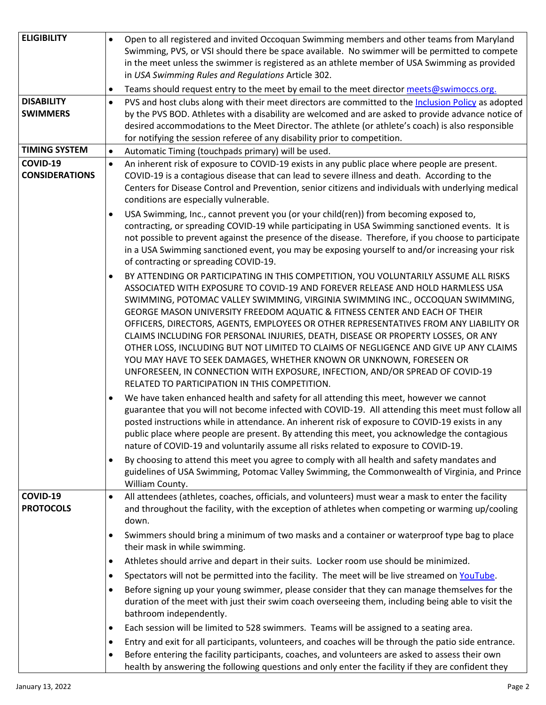| <b>ELIGIBILITY</b>                   | $\bullet$      |                                                                                                                                                                                                                                                                                                                                                                                                                                                                                                                                                                                                                                                                                                                                                                                                                     |
|--------------------------------------|----------------|---------------------------------------------------------------------------------------------------------------------------------------------------------------------------------------------------------------------------------------------------------------------------------------------------------------------------------------------------------------------------------------------------------------------------------------------------------------------------------------------------------------------------------------------------------------------------------------------------------------------------------------------------------------------------------------------------------------------------------------------------------------------------------------------------------------------|
|                                      |                | Open to all registered and invited Occoquan Swimming members and other teams from Maryland<br>Swimming, PVS, or VSI should there be space available. No swimmer will be permitted to compete<br>in the meet unless the swimmer is registered as an athlete member of USA Swimming as provided<br>in USA Swimming Rules and Regulations Article 302.                                                                                                                                                                                                                                                                                                                                                                                                                                                                 |
|                                      | $\bullet$      | Teams should request entry to the meet by email to the meet director meets@swimoccs.org.                                                                                                                                                                                                                                                                                                                                                                                                                                                                                                                                                                                                                                                                                                                            |
| <b>DISABILITY</b><br><b>SWIMMERS</b> | $\bullet$      | PVS and host clubs along with their meet directors are committed to the Inclusion Policy as adopted<br>by the PVS BOD. Athletes with a disability are welcomed and are asked to provide advance notice of<br>desired accommodations to the Meet Director. The athlete (or athlete's coach) is also responsible<br>for notifying the session referee of any disability prior to competition.                                                                                                                                                                                                                                                                                                                                                                                                                         |
| <b>TIMING SYSTEM</b>                 | $\bullet$      | Automatic Timing (touchpads primary) will be used.                                                                                                                                                                                                                                                                                                                                                                                                                                                                                                                                                                                                                                                                                                                                                                  |
| COVID-19                             | $\bullet$      | An inherent risk of exposure to COVID-19 exists in any public place where people are present.                                                                                                                                                                                                                                                                                                                                                                                                                                                                                                                                                                                                                                                                                                                       |
| <b>CONSIDERATIONS</b>                |                | COVID-19 is a contagious disease that can lead to severe illness and death. According to the<br>Centers for Disease Control and Prevention, senior citizens and individuals with underlying medical<br>conditions are especially vulnerable.                                                                                                                                                                                                                                                                                                                                                                                                                                                                                                                                                                        |
|                                      | $\bullet$      | USA Swimming, Inc., cannot prevent you (or your child(ren)) from becoming exposed to,<br>contracting, or spreading COVID-19 while participating in USA Swimming sanctioned events. It is<br>not possible to prevent against the presence of the disease. Therefore, if you choose to participate<br>in a USA Swimming sanctioned event, you may be exposing yourself to and/or increasing your risk<br>of contracting or spreading COVID-19.                                                                                                                                                                                                                                                                                                                                                                        |
|                                      | ٠              | BY ATTENDING OR PARTICIPATING IN THIS COMPETITION, YOU VOLUNTARILY ASSUME ALL RISKS<br>ASSOCIATED WITH EXPOSURE TO COVID-19 AND FOREVER RELEASE AND HOLD HARMLESS USA<br>SWIMMING, POTOMAC VALLEY SWIMMING, VIRGINIA SWIMMING INC., OCCOQUAN SWIMMING,<br>GEORGE MASON UNIVERSITY FREEDOM AQUATIC & FITNESS CENTER AND EACH OF THEIR<br>OFFICERS, DIRECTORS, AGENTS, EMPLOYEES OR OTHER REPRESENTATIVES FROM ANY LIABILITY OR<br>CLAIMS INCLUDING FOR PERSONAL INJURIES, DEATH, DISEASE OR PROPERTY LOSSES, OR ANY<br>OTHER LOSS, INCLUDING BUT NOT LIMITED TO CLAIMS OF NEGLIGENCE AND GIVE UP ANY CLAIMS<br>YOU MAY HAVE TO SEEK DAMAGES, WHETHER KNOWN OR UNKNOWN, FORESEEN OR<br>UNFORESEEN, IN CONNECTION WITH EXPOSURE, INFECTION, AND/OR SPREAD OF COVID-19<br>RELATED TO PARTICIPATION IN THIS COMPETITION. |
|                                      | $\bullet$      | We have taken enhanced health and safety for all attending this meet, however we cannot<br>guarantee that you will not become infected with COVID-19. All attending this meet must follow all<br>posted instructions while in attendance. An inherent risk of exposure to COVID-19 exists in any<br>public place where people are present. By attending this meet, you acknowledge the contagious<br>nature of COVID-19 and voluntarily assume all risks related to exposure to COVID-19.                                                                                                                                                                                                                                                                                                                           |
|                                      | $\bullet$      | By choosing to attend this meet you agree to comply with all health and safety mandates and<br>guidelines of USA Swimming, Potomac Valley Swimming, the Commonwealth of Virginia, and Prince<br>William County.                                                                                                                                                                                                                                                                                                                                                                                                                                                                                                                                                                                                     |
| COVID-19<br><b>PROTOCOLS</b>         | $\bullet$      | All attendees (athletes, coaches, officials, and volunteers) must wear a mask to enter the facility<br>and throughout the facility, with the exception of athletes when competing or warming up/cooling<br>down.                                                                                                                                                                                                                                                                                                                                                                                                                                                                                                                                                                                                    |
|                                      | $\bullet$      | Swimmers should bring a minimum of two masks and a container or waterproof type bag to place<br>their mask in while swimming.                                                                                                                                                                                                                                                                                                                                                                                                                                                                                                                                                                                                                                                                                       |
|                                      | $\bullet$      | Athletes should arrive and depart in their suits. Locker room use should be minimized.                                                                                                                                                                                                                                                                                                                                                                                                                                                                                                                                                                                                                                                                                                                              |
|                                      | $\bullet$      | Spectators will not be permitted into the facility. The meet will be live streamed on YouTube.                                                                                                                                                                                                                                                                                                                                                                                                                                                                                                                                                                                                                                                                                                                      |
|                                      | $\bullet$      | Before signing up your young swimmer, please consider that they can manage themselves for the<br>duration of the meet with just their swim coach overseeing them, including being able to visit the<br>bathroom independently.                                                                                                                                                                                                                                                                                                                                                                                                                                                                                                                                                                                      |
|                                      |                | Each session will be limited to 528 swimmers. Teams will be assigned to a seating area.                                                                                                                                                                                                                                                                                                                                                                                                                                                                                                                                                                                                                                                                                                                             |
|                                      | ٠              |                                                                                                                                                                                                                                                                                                                                                                                                                                                                                                                                                                                                                                                                                                                                                                                                                     |
|                                      | $\bullet$<br>٠ | Entry and exit for all participants, volunteers, and coaches will be through the patio side entrance.<br>Before entering the facility participants, coaches, and volunteers are asked to assess their own<br>health by answering the following questions and only enter the facility if they are confident they                                                                                                                                                                                                                                                                                                                                                                                                                                                                                                     |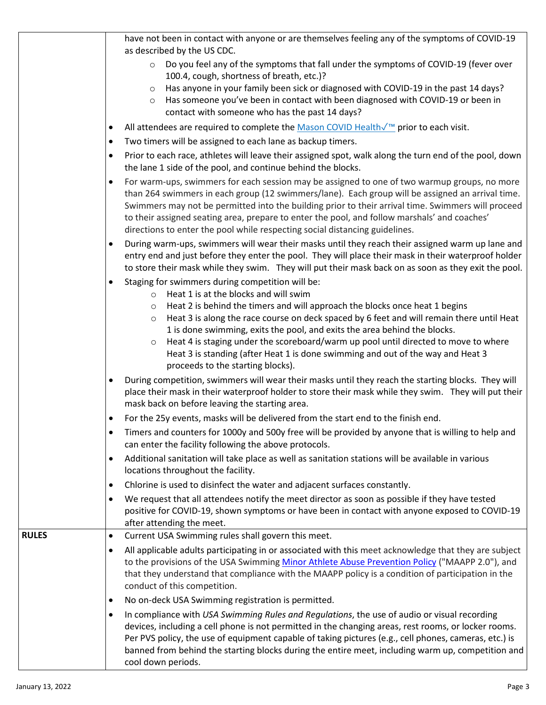|              |           | have not been in contact with anyone or are themselves feeling any of the symptoms of COVID-19                                                                                                                                                                                                                                                                                                                                                                                                                                                                                                       |
|--------------|-----------|------------------------------------------------------------------------------------------------------------------------------------------------------------------------------------------------------------------------------------------------------------------------------------------------------------------------------------------------------------------------------------------------------------------------------------------------------------------------------------------------------------------------------------------------------------------------------------------------------|
|              |           | as described by the US CDC.                                                                                                                                                                                                                                                                                                                                                                                                                                                                                                                                                                          |
|              |           | Do you feel any of the symptoms that fall under the symptoms of COVID-19 (fever over<br>$\circ$<br>100.4, cough, shortness of breath, etc.)?                                                                                                                                                                                                                                                                                                                                                                                                                                                         |
|              |           | Has anyone in your family been sick or diagnosed with COVID-19 in the past 14 days?<br>$\circ$<br>Has someone you've been in contact with been diagnosed with COVID-19 or been in<br>$\circ$<br>contact with someone who has the past 14 days?                                                                                                                                                                                                                                                                                                                                                       |
|              |           | All attendees are required to complete the Mason COVID Healthê prior to each visit.                                                                                                                                                                                                                                                                                                                                                                                                                                                                                                                  |
|              | ٠         | Two timers will be assigned to each lane as backup timers.                                                                                                                                                                                                                                                                                                                                                                                                                                                                                                                                           |
|              |           | Prior to each race, athletes will leave their assigned spot, walk along the turn end of the pool, down<br>the lane 1 side of the pool, and continue behind the blocks.                                                                                                                                                                                                                                                                                                                                                                                                                               |
|              |           | For warm-ups, swimmers for each session may be assigned to one of two warmup groups, no more<br>than 264 swimmers in each group (12 swimmers/lane). Each group will be assigned an arrival time.<br>Swimmers may not be permitted into the building prior to their arrival time. Swimmers will proceed<br>to their assigned seating area, prepare to enter the pool, and follow marshals' and coaches'<br>directions to enter the pool while respecting social distancing guidelines.                                                                                                                |
|              | $\bullet$ | During warm-ups, swimmers will wear their masks until they reach their assigned warm up lane and<br>entry end and just before they enter the pool. They will place their mask in their waterproof holder<br>to store their mask while they swim. They will put their mask back on as soon as they exit the pool.                                                                                                                                                                                                                                                                                     |
|              |           | Staging for swimmers during competition will be:<br>o Heat 1 is at the blocks and will swim<br>Heat 2 is behind the timers and will approach the blocks once heat 1 begins<br>$\circ$<br>Heat 3 is along the race course on deck spaced by 6 feet and will remain there until Heat<br>$\circ$<br>1 is done swimming, exits the pool, and exits the area behind the blocks.<br>Heat 4 is staging under the scoreboard/warm up pool until directed to move to where<br>$\circ$<br>Heat 3 is standing (after Heat 1 is done swimming and out of the way and Heat 3<br>proceeds to the starting blocks). |
|              |           | During competition, swimmers will wear their masks until they reach the starting blocks. They will<br>place their mask in their waterproof holder to store their mask while they swim. They will put their<br>mask back on before leaving the starting area.                                                                                                                                                                                                                                                                                                                                         |
|              |           | For the 25y events, masks will be delivered from the start end to the finish end.                                                                                                                                                                                                                                                                                                                                                                                                                                                                                                                    |
|              |           | Timers and counters for 1000y and 500y free will be provided by anyone that is willing to help and<br>can enter the facility following the above protocols.                                                                                                                                                                                                                                                                                                                                                                                                                                          |
|              |           | Additional sanitation will take place as well as sanitation stations will be available in various<br>locations throughout the facility.                                                                                                                                                                                                                                                                                                                                                                                                                                                              |
|              |           | Chlorine is used to disinfect the water and adjacent surfaces constantly.                                                                                                                                                                                                                                                                                                                                                                                                                                                                                                                            |
|              | ٠         | We request that all attendees notify the meet director as soon as possible if they have tested<br>positive for COVID-19, shown symptoms or have been in contact with anyone exposed to COVID-19<br>after attending the meet.                                                                                                                                                                                                                                                                                                                                                                         |
| <b>RULES</b> |           | Current USA Swimming rules shall govern this meet.                                                                                                                                                                                                                                                                                                                                                                                                                                                                                                                                                   |
|              |           | All applicable adults participating in or associated with this meet acknowledge that they are subject<br>to the provisions of the USA Swimming Minor Athlete Abuse Prevention Policy ("MAAPP 2.0"), and<br>that they understand that compliance with the MAAPP policy is a condition of participation in the<br>conduct of this competition.                                                                                                                                                                                                                                                         |
|              | ٠         | No on-deck USA Swimming registration is permitted.                                                                                                                                                                                                                                                                                                                                                                                                                                                                                                                                                   |
|              |           | In compliance with USA Swimming Rules and Regulations, the use of audio or visual recording<br>devices, including a cell phone is not permitted in the changing areas, rest rooms, or locker rooms.<br>Per PVS policy, the use of equipment capable of taking pictures (e.g., cell phones, cameras, etc.) is<br>banned from behind the starting blocks during the entire meet, including warm up, competition and<br>cool down periods.                                                                                                                                                              |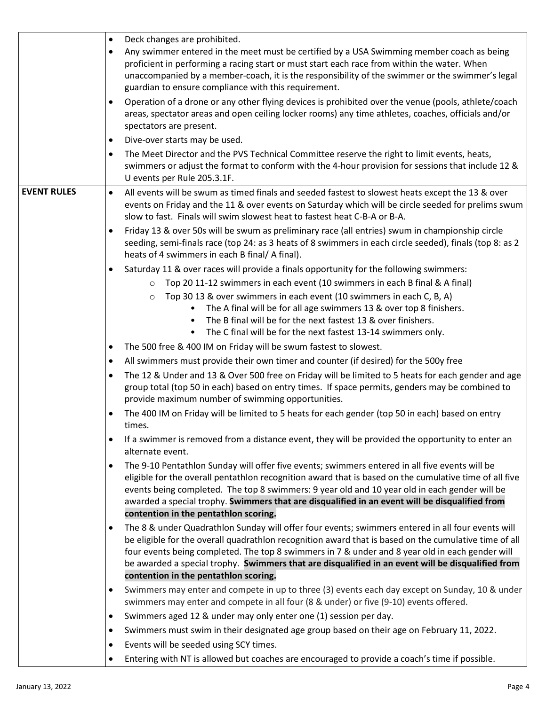|                    | Deck changes are prohibited.<br>$\bullet$                                                                                                                                                                                                                                                                                                                                                                                                                         |
|--------------------|-------------------------------------------------------------------------------------------------------------------------------------------------------------------------------------------------------------------------------------------------------------------------------------------------------------------------------------------------------------------------------------------------------------------------------------------------------------------|
|                    | Any swimmer entered in the meet must be certified by a USA Swimming member coach as being<br>$\bullet$<br>proficient in performing a racing start or must start each race from within the water. When<br>unaccompanied by a member-coach, it is the responsibility of the swimmer or the swimmer's legal<br>guardian to ensure compliance with this requirement.                                                                                                  |
|                    | Operation of a drone or any other flying devices is prohibited over the venue (pools, athlete/coach<br>areas, spectator areas and open ceiling locker rooms) any time athletes, coaches, officials and/or<br>spectators are present.                                                                                                                                                                                                                              |
|                    | Dive-over starts may be used.<br>$\bullet$                                                                                                                                                                                                                                                                                                                                                                                                                        |
|                    | The Meet Director and the PVS Technical Committee reserve the right to limit events, heats,<br>$\bullet$<br>swimmers or adjust the format to conform with the 4-hour provision for sessions that include 12 &<br>U events per Rule 205.3.1F.                                                                                                                                                                                                                      |
| <b>EVENT RULES</b> | All events will be swum as timed finals and seeded fastest to slowest heats except the 13 & over<br>$\bullet$<br>events on Friday and the 11 & over events on Saturday which will be circle seeded for prelims swum<br>slow to fast. Finals will swim slowest heat to fastest heat C-B-A or B-A.                                                                                                                                                                  |
|                    | Friday 13 & over 50s will be swum as preliminary race (all entries) swum in championship circle<br>seeding, semi-finals race (top 24: as 3 heats of 8 swimmers in each circle seeded), finals (top 8: as 2<br>heats of 4 swimmers in each B final/ A final).                                                                                                                                                                                                      |
|                    | Saturday 11 & over races will provide a finals opportunity for the following swimmers:                                                                                                                                                                                                                                                                                                                                                                            |
|                    | Top 20 11-12 swimmers in each event (10 swimmers in each B final & A final)<br>$\circ$                                                                                                                                                                                                                                                                                                                                                                            |
|                    | Top 30 13 & over swimmers in each event (10 swimmers in each C, B, A)<br>$\circ$<br>The A final will be for all age swimmers 13 & over top 8 finishers.<br>$\bullet$<br>The B final will be for the next fastest 13 & over finishers.                                                                                                                                                                                                                             |
|                    | The C final will be for the next fastest 13-14 swimmers only.<br>$\bullet$                                                                                                                                                                                                                                                                                                                                                                                        |
|                    | The 500 free & 400 IM on Friday will be swum fastest to slowest.<br>$\bullet$                                                                                                                                                                                                                                                                                                                                                                                     |
|                    | All swimmers must provide their own timer and counter (if desired) for the 500y free<br>$\bullet$                                                                                                                                                                                                                                                                                                                                                                 |
|                    | The 12 & Under and 13 & Over 500 free on Friday will be limited to 5 heats for each gender and age<br>$\bullet$<br>group total (top 50 in each) based on entry times. If space permits, genders may be combined to<br>provide maximum number of swimming opportunities.                                                                                                                                                                                           |
|                    | The 400 IM on Friday will be limited to 5 heats for each gender (top 50 in each) based on entry<br>times.                                                                                                                                                                                                                                                                                                                                                         |
|                    | If a swimmer is removed from a distance event, they will be provided the opportunity to enter an<br>$\bullet$<br>alternate event.                                                                                                                                                                                                                                                                                                                                 |
|                    | The 9-10 Pentathlon Sunday will offer five events; swimmers entered in all five events will be<br>$\bullet$<br>eligible for the overall pentathlon recognition award that is based on the cumulative time of all five<br>events being completed. The top 8 swimmers: 9 year old and 10 year old in each gender will be<br>awarded a special trophy. Swimmers that are disqualified in an event will be disqualified from<br>contention in the pentathlon scoring. |
|                    | The 8 & under Quadrathlon Sunday will offer four events; swimmers entered in all four events will                                                                                                                                                                                                                                                                                                                                                                 |
|                    | be eligible for the overall quadrathlon recognition award that is based on the cumulative time of all<br>four events being completed. The top 8 swimmers in 7 & under and 8 year old in each gender will<br>be awarded a special trophy. Swimmers that are disqualified in an event will be disqualified from                                                                                                                                                     |
|                    | contention in the pentathlon scoring.                                                                                                                                                                                                                                                                                                                                                                                                                             |
|                    | Swimmers may enter and compete in up to three (3) events each day except on Sunday, 10 & under<br>$\bullet$<br>swimmers may enter and compete in all four (8 & under) or five (9-10) events offered.                                                                                                                                                                                                                                                              |
|                    | Swimmers aged 12 & under may only enter one (1) session per day.<br>$\bullet$                                                                                                                                                                                                                                                                                                                                                                                     |
|                    | Swimmers must swim in their designated age group based on their age on February 11, 2022.<br>$\bullet$                                                                                                                                                                                                                                                                                                                                                            |
|                    | Events will be seeded using SCY times.<br>$\bullet$                                                                                                                                                                                                                                                                                                                                                                                                               |
|                    | Entering with NT is allowed but coaches are encouraged to provide a coach's time if possible.                                                                                                                                                                                                                                                                                                                                                                     |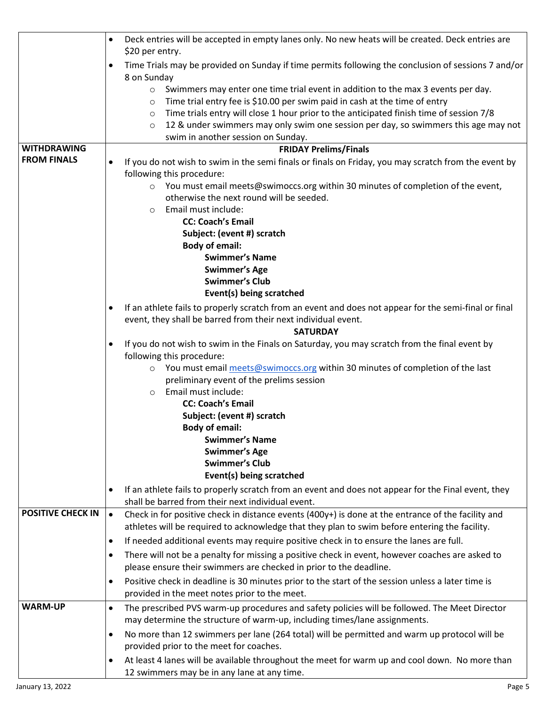|                          | Deck entries will be accepted in empty lanes only. No new heats will be created. Deck entries are<br>$\bullet$                                                        |
|--------------------------|-----------------------------------------------------------------------------------------------------------------------------------------------------------------------|
|                          | \$20 per entry.                                                                                                                                                       |
|                          | Time Trials may be provided on Sunday if time permits following the conclusion of sessions 7 and/or<br>$\bullet$<br>8 on Sunday                                       |
|                          | Swimmers may enter one time trial event in addition to the max 3 events per day.<br>$\circ$                                                                           |
|                          | Time trial entry fee is \$10.00 per swim paid in cash at the time of entry<br>$\circ$                                                                                 |
|                          | Time trials entry will close 1 hour prior to the anticipated finish time of session 7/8<br>$\circ$                                                                    |
|                          | 12 & under swimmers may only swim one session per day, so swimmers this age may not<br>$\circ$                                                                        |
|                          | swim in another session on Sunday.                                                                                                                                    |
| <b>WITHDRAWING</b>       | <b>FRIDAY Prelims/Finals</b>                                                                                                                                          |
| <b>FROM FINALS</b>       | If you do not wish to swim in the semi finals or finals on Friday, you may scratch from the event by<br>$\bullet$                                                     |
|                          | following this procedure:                                                                                                                                             |
|                          | ○ You must email meets@swimoccs.org within 30 minutes of completion of the event,                                                                                     |
|                          | otherwise the next round will be seeded.                                                                                                                              |
|                          | Email must include:<br>$\circ$                                                                                                                                        |
|                          | <b>CC: Coach's Email</b>                                                                                                                                              |
|                          | Subject: (event #) scratch                                                                                                                                            |
|                          | <b>Body of email:</b>                                                                                                                                                 |
|                          | <b>Swimmer's Name</b>                                                                                                                                                 |
|                          | <b>Swimmer's Age</b>                                                                                                                                                  |
|                          | <b>Swimmer's Club</b>                                                                                                                                                 |
|                          | Event(s) being scratched                                                                                                                                              |
|                          |                                                                                                                                                                       |
|                          | If an athlete fails to properly scratch from an event and does not appear for the semi-final or final<br>$\bullet$                                                    |
|                          | event, they shall be barred from their next individual event.                                                                                                         |
|                          | <b>SATURDAY</b>                                                                                                                                                       |
|                          | If you do not wish to swim in the Finals on Saturday, you may scratch from the final event by<br>$\bullet$                                                            |
|                          | following this procedure:                                                                                                                                             |
|                          | You must email meets@swimoccs.org within 30 minutes of completion of the last<br>$\circ$                                                                              |
|                          | preliminary event of the prelims session                                                                                                                              |
|                          | Email must include:<br>$\circ$                                                                                                                                        |
|                          | <b>CC: Coach's Email</b>                                                                                                                                              |
|                          | Subject: (event #) scratch                                                                                                                                            |
|                          | <b>Body of email:</b>                                                                                                                                                 |
|                          | <b>Swimmer's Name</b>                                                                                                                                                 |
|                          | <b>Swimmer's Age</b>                                                                                                                                                  |
|                          | <b>Swimmer's Club</b>                                                                                                                                                 |
|                          | Event(s) being scratched                                                                                                                                              |
|                          | If an athlete fails to properly scratch from an event and does not appear for the Final event, they<br>$\bullet$<br>shall be barred from their next individual event. |
| <b>POSITIVE CHECK IN</b> | Check in for positive check in distance events (400y+) is done at the entrance of the facility and<br>$\bullet$                                                       |
|                          | athletes will be required to acknowledge that they plan to swim before entering the facility.                                                                         |
|                          | If needed additional events may require positive check in to ensure the lanes are full.<br>$\bullet$                                                                  |
|                          | There will not be a penalty for missing a positive check in event, however coaches are asked to<br>$\bullet$                                                          |
|                          | please ensure their swimmers are checked in prior to the deadline.                                                                                                    |
|                          |                                                                                                                                                                       |
|                          | Positive check in deadline is 30 minutes prior to the start of the session unless a later time is<br>$\bullet$                                                        |
|                          | provided in the meet notes prior to the meet.                                                                                                                         |
| <b>WARM-UP</b>           | The prescribed PVS warm-up procedures and safety policies will be followed. The Meet Director<br>$\bullet$                                                            |
|                          | may determine the structure of warm-up, including times/lane assignments.                                                                                             |
|                          | No more than 12 swimmers per lane (264 total) will be permitted and warm up protocol will be<br>$\bullet$                                                             |
|                          | provided prior to the meet for coaches.                                                                                                                               |
|                          | At least 4 lanes will be available throughout the meet for warm up and cool down. No more than<br>$\bullet$                                                           |
|                          | 12 swimmers may be in any lane at any time.                                                                                                                           |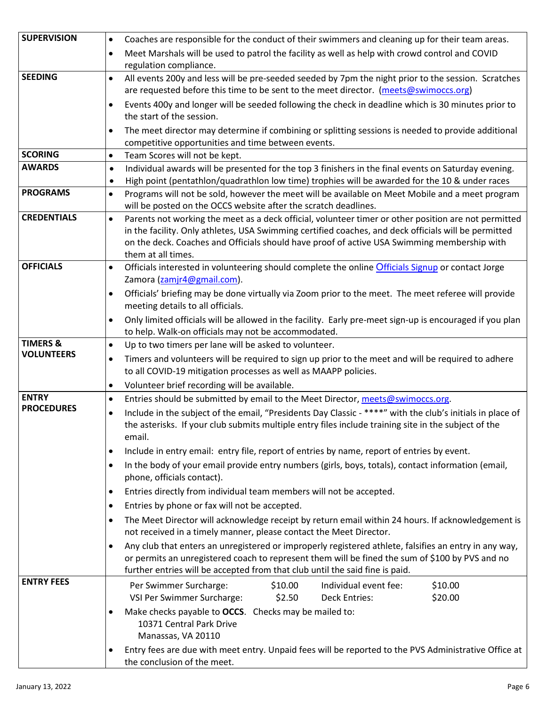| <b>SUPERVISION</b>  | Coaches are responsible for the conduct of their swimmers and cleaning up for their team areas.<br>$\bullet$                                                                         |
|---------------------|--------------------------------------------------------------------------------------------------------------------------------------------------------------------------------------|
|                     | Meet Marshals will be used to patrol the facility as well as help with crowd control and COVID<br>$\bullet$                                                                          |
|                     | regulation compliance.                                                                                                                                                               |
| <b>SEEDING</b>      | All events 200y and less will be pre-seeded seeded by 7pm the night prior to the session. Scratches<br>$\bullet$                                                                     |
|                     | are requested before this time to be sent to the meet director. (meets@swimoccs.org)                                                                                                 |
|                     | Events 400y and longer will be seeded following the check in deadline which is 30 minutes prior to<br>$\bullet$                                                                      |
|                     | the start of the session.                                                                                                                                                            |
|                     | The meet director may determine if combining or splitting sessions is needed to provide additional<br>$\bullet$                                                                      |
|                     | competitive opportunities and time between events.                                                                                                                                   |
| <b>SCORING</b>      | Team Scores will not be kept.<br>$\bullet$                                                                                                                                           |
| <b>AWARDS</b>       | Individual awards will be presented for the top 3 finishers in the final events on Saturday evening.<br>$\bullet$                                                                    |
| <b>PROGRAMS</b>     | High point (pentathlon/quadrathlon low time) trophies will be awarded for the 10 & under races<br>$\bullet$                                                                          |
|                     | Programs will not be sold, however the meet will be available on Meet Mobile and a meet program<br>$\bullet$<br>will be posted on the OCCS website after the scratch deadlines.      |
| <b>CREDENTIALS</b>  | Parents not working the meet as a deck official, volunteer timer or other position are not permitted<br>$\bullet$                                                                    |
|                     | in the facility. Only athletes, USA Swimming certified coaches, and deck officials will be permitted                                                                                 |
|                     | on the deck. Coaches and Officials should have proof of active USA Swimming membership with                                                                                          |
| <b>OFFICIALS</b>    | them at all times.                                                                                                                                                                   |
|                     | Officials interested in volunteering should complete the online Officials Signup or contact Jorge<br>$\bullet$                                                                       |
|                     | Zamora (zamjr4@gmail.com).                                                                                                                                                           |
|                     | Officials' briefing may be done virtually via Zoom prior to the meet. The meet referee will provide<br>$\bullet$<br>meeting details to all officials.                                |
|                     |                                                                                                                                                                                      |
|                     | Only limited officials will be allowed in the facility. Early pre-meet sign-up is encouraged if you plan<br>$\bullet$<br>to help. Walk-on officials may not be accommodated.         |
| <b>TIMERS &amp;</b> | Up to two timers per lane will be asked to volunteer.<br>$\bullet$                                                                                                                   |
| <b>VOLUNTEERS</b>   | Timers and volunteers will be required to sign up prior to the meet and will be required to adhere<br>٠                                                                              |
|                     | to all COVID-19 mitigation processes as well as MAAPP policies.                                                                                                                      |
|                     | Volunteer brief recording will be available.<br>$\bullet$                                                                                                                            |
| <b>ENTRY</b>        | Entries should be submitted by email to the Meet Director, meets@swimoccs.org.<br>$\bullet$                                                                                          |
| <b>PROCEDURES</b>   | Include in the subject of the email, "Presidents Day Classic - ****" with the club's initials in place of<br>$\bullet$                                                               |
|                     | the asterisks. If your club submits multiple entry files include training site in the subject of the                                                                                 |
|                     | email.                                                                                                                                                                               |
|                     | Include in entry email: entry file, report of entries by name, report of entries by event.<br>$\bullet$                                                                              |
|                     | In the body of your email provide entry numbers (girls, boys, totals), contact information (email,<br>$\bullet$                                                                      |
|                     | phone, officials contact).                                                                                                                                                           |
|                     | Entries directly from individual team members will not be accepted.<br>$\bullet$                                                                                                     |
|                     | Entries by phone or fax will not be accepted.<br>$\bullet$                                                                                                                           |
|                     | The Meet Director will acknowledge receipt by return email within 24 hours. If acknowledgement is<br>$\bullet$<br>not received in a timely manner, please contact the Meet Director. |
|                     | Any club that enters an unregistered or improperly registered athlete, falsifies an entry in any way,<br>$\bullet$                                                                   |
|                     | or permits an unregistered coach to represent them will be fined the sum of \$100 by PVS and no<br>further entries will be accepted from that club until the said fine is paid.      |
| <b>ENTRY FEES</b>   | \$10.00<br>Individual event fee:<br>\$10.00<br>Per Swimmer Surcharge:                                                                                                                |
|                     | VSI Per Swimmer Surcharge:<br>\$2.50<br><b>Deck Entries:</b><br>\$20.00                                                                                                              |
|                     | Make checks payable to OCCS. Checks may be mailed to:                                                                                                                                |
|                     | 10371 Central Park Drive                                                                                                                                                             |
|                     | Manassas, VA 20110                                                                                                                                                                   |
|                     | Entry fees are due with meet entry. Unpaid fees will be reported to the PVS Administrative Office at<br>the conclusion of the meet.                                                  |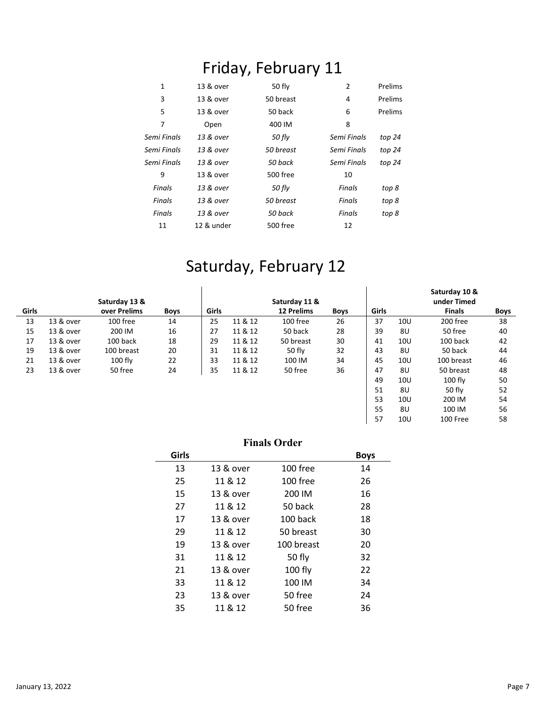# Friday, February 11

| 1           | 13 & over  | 50 fly    | $\overline{2}$ | Prelims  |
|-------------|------------|-----------|----------------|----------|
| 3           | 13 & over  | 50 breast | 4              | Prelims  |
| 5           | 13 & over  | 50 back   | 6              | Prelims  |
| 7           | Open       | 400 IM    | 8              |          |
| Semi Finals | 13 & over  | 50 fly    | Semi Finals    | top 24   |
| Semi Finals | 13 & over  | 50 breast | Semi Finals    | top $24$ |
| Semi Finals | 13 & over  | 50 back   | Semi Finals    | top $24$ |
| 9           | 13 & over  | 500 free  | 10             |          |
| Finals      | 13 & over  | 50 fly    | Finals         | top 8    |
| Finals      | 13 & over  | 50 breast | Finals         | top 8    |
| Finals      | 13 & over  | 50 back   | <b>Finals</b>  | top 8    |
| 11          | 12 & under | 500 free  | 12             |          |

### Saturday, February 12

|              |           | Saturday 13 & |             |       |         | Saturday 11 &     |             |       |                 | Saturday 10 &<br>under Timed |             |
|--------------|-----------|---------------|-------------|-------|---------|-------------------|-------------|-------|-----------------|------------------------------|-------------|
| <b>Girls</b> |           | over Prelims  | <b>Boys</b> | Girls |         | <b>12 Prelims</b> | <b>Boys</b> | Girls |                 | <b>Finals</b>                | <b>Boys</b> |
| 13           | 13 & over | 100 free      | 14          | 25    | 11 & 12 | 100 free          | 26          | 37    | 10 <sub>U</sub> | 200 free                     | 38          |
| 15           | 13 & over | 200 IM        | 16          | 27    | 11 & 12 | 50 back           | 28          | 39    | 8U              | 50 free                      | 40          |
| 17           | 13 & over | 100 back      | 18          | 29    | 11 & 12 | 50 breast         | 30          | 41    | 10U             | 100 back                     | 42          |
| 19           | 13 & over | 100 breast    | 20          | 31    | 11 & 12 | 50 fly            | 32          | 43    | 8U              | 50 back                      | 44          |
| 21           | 13 & over | $100$ fly     | 22          | 33    | 11 & 12 | 100 IM            | 34          | 45    | 10U             | 100 breast                   | 46          |
| 23           | 13 & over | 50 free       | 24          | 35    | 11 & 12 | 50 free           | 36          | 47    | 8U              | 50 breast                    | 48          |
|              |           |               |             |       |         |                   |             | 49    | 10U             | $100$ fly                    | 50          |
|              |           |               |             |       |         |                   |             | 51    | 8U              | 50 fly                       | 52          |
|              |           |               |             |       |         |                   |             | 53    | 10U             | 200 IM                       | 54          |
|              |           |               |             |       |         |                   |             | 55    | 8U              | 100 IM                       | 56          |
|              |           |               |             |       |         |                   |             | 57    | 10U             | 100 Free                     | 58          |

#### **Finals Order**

|           |            | <b>Boys</b> |
|-----------|------------|-------------|
| 13 & over | 100 free   | 14          |
| 11 & 12   | 100 free   | 26          |
| 13 & over | 200 IM     | 16          |
| 11 & 12   | 50 back    | 28          |
| 13 & over | 100 back   | 18          |
| 11 & 12   | 50 breast  | 30          |
| 13 & over | 100 breast | 20          |
| 11 & 12   | 50 fly     | 32          |
| 13 & over | 100 fly    | 22          |
| 11 & 12   | 100 IM     | 34          |
| 13 & over | 50 free    | 24          |
| 11 & 12   | 50 free    | 36          |
|           |            |             |